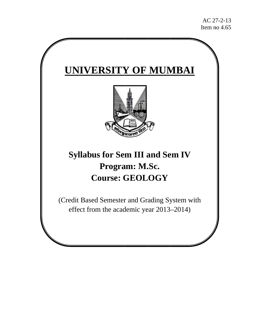# **UNIVERSITY OF MUMBAI**



# **Syllabus for Sem III and Sem IV P Progra am: M. .Sc.**   $\bf{Course: GEOLOGY}$

(Credit Based Semester and Grading System with effect from the academic year 2013–2014)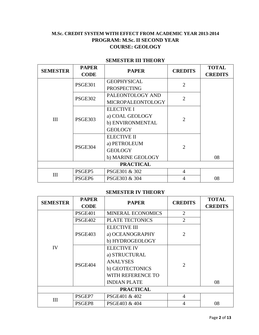# **M.Sc. CREDIT SYSTEM WITH EFFECT FROM ACADEMIC YEAR 2013-2014 PROGRAM: M.Sc. II SECOND YEAR COURSE: GEOLOGY**

## **SEMESTER III THEORY**

| <b>SEMESTER</b>  | <b>PAPER</b>       | <b>PAPER</b>             | <b>CREDITS</b> | <b>TOTAL</b>   |
|------------------|--------------------|--------------------------|----------------|----------------|
|                  | <b>CODE</b>        |                          |                | <b>CREDITS</b> |
|                  | <b>PSGE301</b>     | <b>GEOPHYSICAL</b>       | 2              |                |
|                  |                    | <b>PROSPECTING</b>       |                |                |
|                  | <b>PSGE302</b>     | PALEONTOLOGY AND         | $\overline{2}$ |                |
|                  |                    | <b>MICROPALEONTOLOGY</b> |                |                |
|                  |                    | <b>ELECTIVE I</b>        |                |                |
| III              | <b>PSGE303</b>     | a) COAL GEOLOGY          | $\overline{2}$ |                |
|                  |                    | b) ENVIRONMENTAL         |                |                |
|                  |                    | <b>GEOLOGY</b>           |                |                |
|                  | <b>PSGE304</b>     | <b>ELECTIVE II</b>       |                |                |
|                  |                    | a) PETROLEUM             | $\overline{2}$ |                |
|                  |                    | <b>GEOLOGY</b>           |                |                |
|                  |                    | b) MARINE GEOLOGY        |                | 08             |
| <b>PRACTICAL</b> |                    |                          |                |                |
| III              | PSGEP5             | PSGE301 & 302            | $\overline{4}$ |                |
|                  | PSGEP <sub>6</sub> | PSGE303 & 304            | 4              | 08             |

### **SEMESTER IV THEORY**

| <b>SEMESTER</b> | <b>PAPER</b>   | <b>PAPER</b>             | <b>CREDITS</b> | <b>TOTAL</b>   |
|-----------------|----------------|--------------------------|----------------|----------------|
|                 | <b>CODE</b>    |                          |                | <b>CREDITS</b> |
|                 | PSGE401        | <b>MINERAL ECONOMICS</b> | $\overline{2}$ |                |
|                 | PSGE402        | <b>PLATE TECTONICS</b>   | $\overline{2}$ |                |
|                 |                | <b>ELECTIVE III</b>      |                |                |
|                 | <b>PSGE403</b> | a) OCEANOGRAPHY          | $\overline{2}$ |                |
|                 |                | b) HYDROGEOLOGY          |                |                |
| IV              |                | <b>ELECTIVE IV</b>       |                |                |
|                 | <b>PSGE404</b> | a) STRUCTURAL            |                |                |
|                 |                | <b>ANALYSES</b>          | $\overline{2}$ |                |
|                 |                | b) GEOTECTONICS          |                |                |
|                 |                | WITH REFERENCE TO        |                |                |
|                 |                | <b>INDIAN PLATE</b>      |                | 08             |
|                 |                | <b>PRACTICAL</b>         |                |                |
| III             | PSGEP7         | PSGE401 & 402            | 4              |                |
|                 | PSGEP8         | PSGE403 & 404            | 4              | 08             |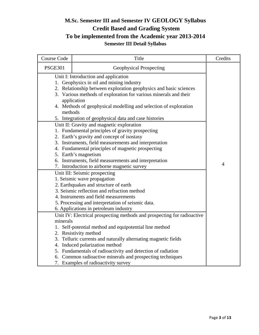# **M.Sc. Semester III and Semester IV GEOLOGY Syllabus Credit Based and Grading System To be implemented from the Academic year 2013-2014 Semester III Detail Syllabus**

| Course Code    | Title                                                                                                                                                                                                                                                                                                                                                                                                                                                                  | Credits        |
|----------------|------------------------------------------------------------------------------------------------------------------------------------------------------------------------------------------------------------------------------------------------------------------------------------------------------------------------------------------------------------------------------------------------------------------------------------------------------------------------|----------------|
| <b>PSGE301</b> | <b>Geophysical Prospecting</b>                                                                                                                                                                                                                                                                                                                                                                                                                                         |                |
| methods        | Unit I: Introduction and application<br>1. Geophysics in oil and mining industry<br>2. Relationship between exploration geophysics and basic sciences<br>3. Various methods of exploration for various minerals and their<br>application<br>4. Methods of geophysical modelling and selection of exploration<br>5. Integration of geophysical data and case histories<br>Unit II: Gravity and magnetic exploration<br>1. Fundamental principles of gravity prospecting |                |
|                | 2. Earth's gravity and concept of isostasy<br>3. Instruments, field measurements and interpretation<br>4. Fundamental principles of magnetic prospecting<br>5. Earth's magnetism<br>6. Instruments, field measurements and interpretation<br>7. Introduction to airborne magnetic survey                                                                                                                                                                               | $\overline{4}$ |
|                | Unit III: Seismic prospecting<br>1. Seismic wave propagation<br>2. Earthquakes and structure of earth<br>3. Seismic reflection and refraction method<br>4. Instruments and field measurements<br>5. Processing and interpretation of seismic data.<br>6. Applications in petroleum industry                                                                                                                                                                            |                |
| minerals       | Unit IV: Electrical prospecting methods and prospecting for radioactive<br>1. Self-potential method and equipotential line method<br>2. Resistivity method<br>3. Telluric currents and naturally alternating magnetic fields<br>4. Induced polarization method<br>5. Fundamentals of radioactivity and detection of radiation<br>6. Common radioactive minerals and prospecting techniques<br>7. Examples of radioactivity survey                                      |                |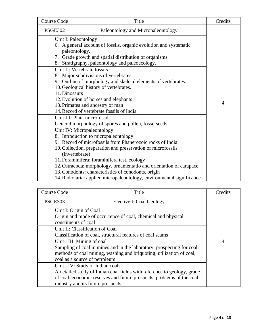| <b>Course Code</b> | Title                                                                 | Credits        |
|--------------------|-----------------------------------------------------------------------|----------------|
| <b>PSGE302</b>     | Paleontology and Micropaleontology                                    |                |
|                    | Unit I: Paleontology                                                  |                |
|                    | 6. A general account of fossils, organic evolution and systematic     |                |
|                    | paleontology.                                                         |                |
|                    | 7. Grade growth and spatial distribution of organisms.                |                |
|                    | 8. Stratigraphy, paleontology and paleoecology.                       |                |
|                    | Unit II: Vertebrate fossils                                           |                |
|                    | 8. Major subdivisions of vertebrates.                                 |                |
|                    | 9. Outline of morphology and skeletal elements of vertebrates.        |                |
|                    | 10. Geological history of vertebrates.                                |                |
| 11. Dinosaurs      |                                                                       |                |
|                    | 12. Evolution of horses and elephants                                 |                |
|                    | 13. Primates and ancestry of man                                      | $\overline{4}$ |
|                    | 14. Record of vertebrate fossils of India                             |                |
|                    | Unit III: Plant microfossils                                          |                |
|                    | General morphology of spores and pollen, fossil seeds                 |                |
|                    | Unit IV: Micropaleontology                                            |                |
|                    | 8. Introduction to micropaleontology                                  |                |
|                    | 9. Record of microfossils from Phanerozoic rocks of India             |                |
|                    | 10. Collection, preparation and preservation of microfossils          |                |
|                    | (invertebrate)                                                        |                |
|                    | 11. Foraminifera: foraminifera test, ecology                          |                |
|                    | 12. Ostracoda: morphology, ornamentatio and orientation of carapace   |                |
|                    | 13. Conodonts: characteristics of conodonts, origin                   |                |
|                    | 14. Radiolaria: applied micropaleontology, environmental significance |                |

| Course Code    | Title                                                                                                                                                                                                                     | Credits        |
|----------------|---------------------------------------------------------------------------------------------------------------------------------------------------------------------------------------------------------------------------|----------------|
| <b>PSGE303</b> | Elective I: Coal Geology                                                                                                                                                                                                  |                |
|                | Unit I: Origin of Coal<br>Origin and mode of occurrence of coal, chemical and physical<br>constituents of coal                                                                                                            |                |
|                | Unit II: Classification of Coal<br>Classification of coal, structural features of coal seams                                                                                                                              |                |
|                | Unit: III: Mining of coal<br>Sampling of coal in mines and in the laboratory: prospecting for coal,<br>methods of coal mining, washing and briquoting, utilization of coal,<br>coal as a source of petroleum              | $\overline{4}$ |
|                | Unit: IV: Study of Indian coals<br>A detailed study of Indian coal fields with reference to geology, grade<br>of coal, economic reserves and future prospects, problems of the coal<br>industry and its future prospects. |                |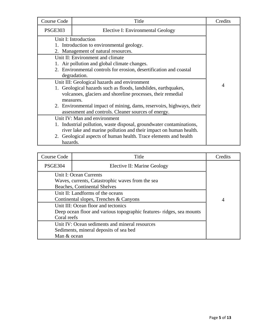| Course Code                                  | Title                                                                | Credits |
|----------------------------------------------|----------------------------------------------------------------------|---------|
| <b>PSGE303</b>                               | Elective I: Environmental Geology                                    |         |
|                                              | Unit I: Introduction                                                 |         |
|                                              | 1. Introduction to environmental geology.                            |         |
|                                              | 2. Management of natural resources.                                  |         |
|                                              | Unit II: Environment and climate                                     |         |
|                                              | 1. Air pollution and global climate changes.                         |         |
|                                              | 2. Environmental controls for erosion, desertification and coastal   |         |
|                                              | degradation.                                                         |         |
| Unit III: Geological hazards and environment |                                                                      |         |
|                                              | 1. Geological hazards such as floods, landslides, earthquakes,       | 4       |
|                                              | volcanoes, glaciers and shoreline processes, their remedial          |         |
|                                              | measures.                                                            |         |
|                                              | 2. Environmental impact of mining, dams, reservoirs, highways, their |         |
|                                              | assessment and controls. Cleaner sources of energy.                  |         |
|                                              | Unit IV: Man and environment                                         |         |
|                                              | 1. Industrial pollution, waste disposal, groundwater contaminations, |         |
|                                              | river lake and marine pollution and their impact on human health.    |         |
|                                              | 2. Geological aspects of human health. Trace elements and health     |         |
| hazards.                                     |                                                                      |         |

| Course Code                                                                                                                | Title                       | Credits        |
|----------------------------------------------------------------------------------------------------------------------------|-----------------------------|----------------|
| <b>PSGE304</b>                                                                                                             | Elective II: Marine Geology |                |
| Unit I: Ocean Currents<br>Waves, currents, Catastrophic waves from the sea<br>Beaches, Continental Shelves                 |                             |                |
| Unit II: Landforms of the oceans<br>Continental slopes, Trenches & Canyons                                                 |                             | $\overline{4}$ |
| Unit III: Ocean floor and tectonics<br>Deep ocean floor and various topographic features-ridges, sea mounts<br>Coral reefs |                             |                |
| Unit IV: Ocean sediments and mineral resources<br>Sediments, mineral deposits of sea bed<br>Man & ocean                    |                             |                |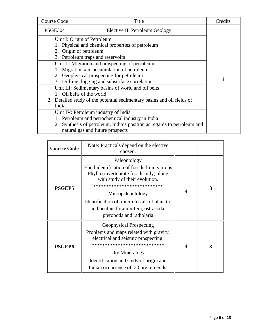| Course Code    | Title                                                                   | Credits |
|----------------|-------------------------------------------------------------------------|---------|
| <b>PSGE304</b> | Elective II: Petroleum Geology                                          |         |
|                | Unit I: Origin of Petroleum                                             |         |
|                | 1. Physical and chemical properties of petroleum                        |         |
|                | 2. Origin of petroleum                                                  |         |
|                | 3. Petroleum traps and reservoirs                                       |         |
|                | Unit II: Migration and prospecting of petroleum                         |         |
|                | 1. Migration and accumulation of petroleum                              |         |
|                | 2. Geophysical prospecting for petroleum                                |         |
|                | 3. Drilling, logging and subsurface correlation                         | 4       |
|                | Unit III: Sedimentary basins of world and oil belts                     |         |
|                | 1. Oil belts of the world                                               |         |
|                | 2. Detailed study of the potential sedimentary basins and oil fields of |         |
| India          |                                                                         |         |
|                | Unit IV: Petroleum industry of India                                    |         |
|                | 1. Petroleum and petrochemical industry in India                        |         |
|                | 2. Synthesis of petroleum, India's position as regards to petroleum and |         |
|                | natural gas and future prospects                                        |         |

| <b>Course Code</b> | Note: Practicals depend on the elective<br>chosen.                                                                                                                                                                                                                                                               |   |   |
|--------------------|------------------------------------------------------------------------------------------------------------------------------------------------------------------------------------------------------------------------------------------------------------------------------------------------------------------|---|---|
| <b>PSGEP5</b>      | Paleontology<br>Hand identification of fossils from various<br>Phylla (invertebrate fossils only) along<br>with study of their evolution.<br>***************************<br>Micropaleontology<br>Identification of micro fossils of planktic<br>and benthic foraminifera, ostracoda,<br>pteropoda and radiolaria | 4 | 8 |
| <b>PSGEP6</b>      | <b>Geophysical Prospecting</b><br>Problems and maps related with gravity,<br>electrical and seismic prospecting.<br>****************************<br>Ore Mineralogy<br>Identification and study of origin and<br>Indian occurrence of 20 ore minerals.                                                            | Δ | 8 |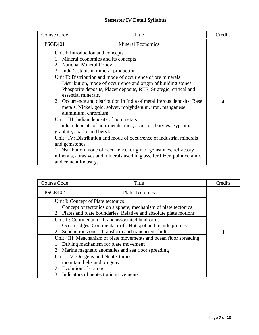# **Semester IV Detail Syllabus**

| Course Code    | Title                                                                     | Credits        |
|----------------|---------------------------------------------------------------------------|----------------|
| <b>PSGE401</b> | <b>Mineral Economics</b>                                                  |                |
|                | Unit I: Introduction and concepts                                         |                |
|                | 1. Mineral economics and its concepts                                     |                |
|                | 2. National Mineral Policy                                                |                |
|                | 3. India's status in mineral production                                   |                |
|                | Unit II: Distribution and mode of occurrence of ore minerals              |                |
|                | 1. Distribution, mode of occurrence and origin of building stones.        |                |
|                | Phosporite deposits, Placer deposits, REE, Strategic, critical and        |                |
|                | essential minerals.                                                       |                |
|                | 2. Occurrence and distribution in India of metalliferous deposits: Base   | $\overline{4}$ |
|                | metals, Nickel, gold, solver, molybdenum, iron, manganese,                |                |
|                | aluminium, chromium.                                                      |                |
|                | Unit: III: Indian deposits of non metals                                  |                |
|                | 1. Indian deposits of non-metals mica, asbestos, barytes, gypsum,         |                |
|                | graphite, apatite and beryl.                                              |                |
|                | Unit: IV: Distribution and mode of occurrence of industrial minerals      |                |
| and gemstones  |                                                                           |                |
|                | 1. Distribution mode of occurrence, origin of gemstones, refractory       |                |
|                | minerals, abrasives and minerals used in glass, fertilizer, paint ceramic |                |
|                | and cement industry.                                                      |                |

| Course Code    | Title                                                                                                                                                                           | Credits |
|----------------|---------------------------------------------------------------------------------------------------------------------------------------------------------------------------------|---------|
| <b>PSGE402</b> | <b>Plate Tectonics</b>                                                                                                                                                          |         |
|                | Unit I: Concept of Plate tectonics<br>1. Concept of tectonics on a sphere, mechanism of plate tectonics<br>2. Plates and plate boundaries. Relative and absolute plate motions  |         |
|                | Unit II: Continental drift and associated landforms<br>1. Ocean ridges. Continental drift. Hot spot and mantle plumes<br>2. Subduction zones. Transform and trancurrent faults. | 4       |
|                | Unit: III: Meachanism of plate movements and ocean floor spreading<br>1. Driving mechanism for plate movement<br>2. Marine magnetic anomalies and sea floor spreading           |         |
|                | Unit: IV: Orogeny and Neotectonics<br>1. mountain belts and orogeny<br>2. Evolution of cratons<br>3. Indicators of neotectonic movements                                        |         |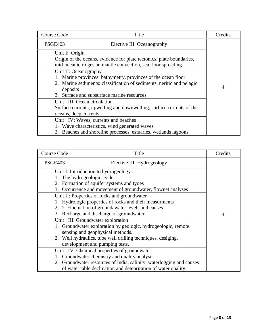| Course Code    | Title                                                                                                                                                                                                         | Credits |
|----------------|---------------------------------------------------------------------------------------------------------------------------------------------------------------------------------------------------------------|---------|
| <b>PSGE403</b> | Elective III: Oceanography                                                                                                                                                                                    |         |
| Unit I: Origin | Origin of the oceans, evidence for plate tectonics, plate boundaries,<br>mid-oceanic ridges an mantle convection, sea floor spreading                                                                         |         |
| deposits       | Unit II: Oceanography<br>1. Marine provinces: bathymetry, provinces of the ocean floor<br>2. Marine sediments: classification of sediments, neritic and pelagic<br>3. Surface and subsurface marine resources | 4       |
|                | Unit: III: Ocean circulation<br>Surface currents, upwelling and downwelling, surface currents of the<br>oceans, deep currents                                                                                 |         |
|                | Unit: IV: Waves, currents and beaches<br>1. Wave characteristics, wind generated waves<br>2. Beaches and shoreline processes, estuaries, wetlands lagoons                                                     |         |

| Course Code                                             | Title                                                                | Credits |
|---------------------------------------------------------|----------------------------------------------------------------------|---------|
| <b>PSGE403</b>                                          | Elective III: Hydrogeology                                           |         |
| Unit I: Introduction to hydrogeology                    |                                                                      |         |
| 1. The hydrogeologic cycle                              |                                                                      |         |
| 2. Formation of aquifer systems and tyoes               |                                                                      |         |
|                                                         | 3. Occurrence and movement of groundwater, flownet analyses          |         |
|                                                         | Unit II: Properties of rocks and groundwater                         |         |
| 1. Hydrologic properties of rocks and their measurments |                                                                      |         |
|                                                         | 2. 2. Fluctuation of groundawater levels and causes                  |         |
|                                                         | 3. Recharge and discharge of groundwater                             | 4       |
| Unit: III: Groundwater exploration                      |                                                                      |         |
|                                                         | 1. Groundwater exploration by geologic, hydrogeologic, remote        |         |
|                                                         | sensing and geophysical methods.                                     |         |
|                                                         | 2. Well hydraulics, tube well drilling techniques, desiging,         |         |
|                                                         | development and pumping tests.                                       |         |
| Unit: IV: Chemical properties of groundwater            |                                                                      |         |
|                                                         | 1. Groundwater chemistry and quality analysis                        |         |
|                                                         | 2. Groundwater resources of India, salinity, waterlogging and causes |         |
|                                                         | of water table declination and deteoriration of water quality.       |         |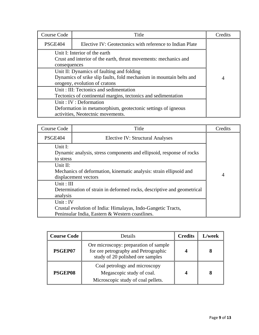| <b>Course Code</b>                                                                                                                                | Title                                                    | Credits |  |
|---------------------------------------------------------------------------------------------------------------------------------------------------|----------------------------------------------------------|---------|--|
| PSGE404                                                                                                                                           | Elective IV: Geotectonics with reference to Indian Plate |         |  |
| Unit I: Interior of the earth<br>Crust and interior of the earth, thrust movements: mechanics and<br>consequences                                 |                                                          |         |  |
| Unit II: Dynamics of faulting and folding<br>Dynamics of srike slip faults, fold mechanism in mountain belts and<br>orogeny, evolution of cratons | $\overline{4}$                                           |         |  |
| Unit: III: Tectonics and sedimentation<br>Tectonics of continental margins, tectonics and sedimentation                                           |                                                          |         |  |
| Unit: IV: Deformation<br>Deformation in metamorphism, geotectonic settings of igneous<br>activities, Neotectnic movements.                        |                                                          |         |  |

| Course Code                                                            | Title                                   | Credits |
|------------------------------------------------------------------------|-----------------------------------------|---------|
| <b>PSGE404</b>                                                         | <b>Elective IV: Structural Analyses</b> |         |
| Unit I:                                                                |                                         |         |
| Dynamic analysis, stress components and ellipsoid, response of rocks   |                                         |         |
| to stress                                                              |                                         |         |
| Unit II:                                                               |                                         |         |
| Mechanics of deformation, kinematic analysis: strain ellipsoid and     |                                         |         |
| displacement vectors                                                   | $\overline{4}$                          |         |
| Unit: $III$                                                            |                                         |         |
| Determination of strain in deformed rocks, descriptive and geometrical |                                         |         |
| analysis                                                               |                                         |         |
| Unit: $IV$                                                             |                                         |         |
| Crustal evolution of India: Himalayas, Indo-Gangetic Tracts,           |                                         |         |
| Peninsular India, Eastern & Western coastlines.                        |                                         |         |

| <b>Course Code</b> | Details                                                                                                           | <b>Credits</b> | L/week |
|--------------------|-------------------------------------------------------------------------------------------------------------------|----------------|--------|
| PSGEP07            | Ore microscopy: preparation of sample<br>for ore petrography and Petrographic<br>study of 20 polished ore samples |                |        |
| PSGEP08            | Coal petrology and microscopy<br>Megascopic study of coal.<br>Microscopic study of coal pellets.                  |                |        |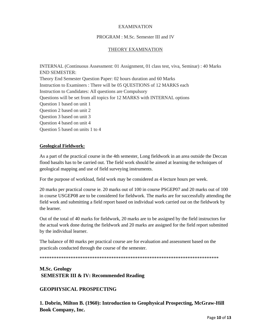#### EXAMINATION

#### PROGRAM : M.Sc. Semester III and IV

#### THEORY EXAMINATION

INTERNAL (Continuous Assessment: 01 Assignment, 01 class test, viva, Seminar) : 40 Marks END SEMESTER: Theory End Semester Question Paper: 02 hours duration and 60 Marks Instruction to Examiners : There will be 05 QUESTIONS of 12 MARKS each Instruction to Candidates: All questions are Compulsory Questions will be set from all topics for 12 MARKS with INTERNAL options Question 1 based on unit 1 Question 2 based on unit 2 Question 3 based on unit 3 Question 4 based on unit 4 Question 5 based on units 1 to 4

#### **Geological Fieldwork:**

As a part of the practical course in the 4th semester, Long fieldwork in an area outside the Deccan flood basalts has to be carried out. The field work should be aimed at learning the techniques of geological mapping and use of field surveying instruments.

For the purpose of workload, field work may be considered as 4 lecture hours per week.

20 marks per practical course ie. 20 marks out of 100 in course PSGEP07 and 20 marks out of 100 in course USGEP08 are to be considered for fieldwork. The marks are for successfully attending the field work and submitting a field report based on individual work carried out on the fieldwork by the learner.

Out of the total of 40 marks for fieldwork, 20 marks are to be assigned by the field instructors for the actual work done during the fieldwork and 20 marks are assigned for the field report submitted by the individual learner.

The balance of 80 marks per practical course are for evaluation and assessment based on the practicals conducted through the course of the semester.

\*\*\*\*\*\*\*\*\*\*\*\*\*\*\*\*\*\*\*\*\*\*\*\*\*\*\*\*\*\*\*\*\*\*\*\*\*\*\*\*\*\*\*\*\*\*\*\*\*\*\*\*\*\*\*\*\*\*\*\*\*\*\*\*\*\*\*\*\*\*\*\*\*\*\*

# **M.Sc. Geology SEMESTER III & IV: Recommended Reading**

#### **GEOPHYSICAL PROSPECTING**

**1. Dobrin, Milton B. (1960): Introduction to Geophysical Prospecting, McGraw-Hill Book Company, Inc.**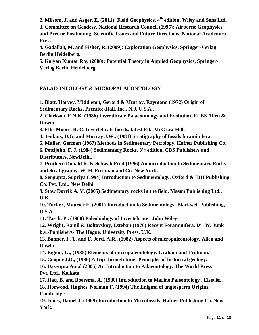2. Milsom, J. and Asger, E. (2011): Field Geophysics, 4<sup>th</sup> edition, Wiley and Sons Ltd.

**3. Committee on Geodesy, National Research Council (1995): Airborne Geophysics** 

**and Precise Positioning: Scientific Issues and Future Directions, National Academics Press** 

**4. Gadallah, M. and Fisher, R. (2009): Exploration Geophysics, Springer-Verlag Berlin Heidelberg.** 

**5. Kalyan Kumar Roy (2008): Potential Theory in Applied Geophysics, Springer-Verlag Berlin Heidelberg.** 

# **PALAEONTOLOGY & MICROPALAEONTOLOGY**

**1. Blatt, Harvey, Middleton, Gerard & Murray, Raymond (1972) Origin of Sedimentary Rocks. Prentice-Hall, Inc., N.J.,U.S.A .** 

**2. Clarkson, E.N.K. (1986) Invertibrate Palaeontology and Evolution. ELBS Allen & Unwin** 

**3. Ellis Moore, R. C. Invertebrate fossils, latest Ed., McGraw Hill.** 

**4. Jenkins, D.G. and Murray J.W., (1981) Stratigraphy of fossils foramimfera.** 

**5. Muller, German (1967) Methods in Sedimentary Petrology. Hafner Publishing Co.** 

**6. Pettijohn, F. J. (1984) Sedimentary Rocks, 3'« edition, CBS Publishers and Distributors, NewDelhi. ,** 

**7. Prothero Donald R. & Schwab Fred (1996) An introduction to Sedimentary Rocks and Stratigraphy. W. H. Freeman and Co. New York.** 

**8. Sengupta, Supriya (1994) Introduction to Sedimentology. Oxford & IBH Publishing Co. Pvt. Ltd., New Delhi.** 

**9. Stow Dorrik A. V. (2005) Sedimentary rocks in the field. Mason Publishing Ltd., U.K.** 

**10. Tucker, Maurice E. (2001) Introduction to Sedimentology. Blackwell Publishing, U.S.A.** 

**11. Tasch, P., (1980) Paleobiology of Invertebrate , John Wiley.** 

**12. Wright, Ramil & Boltovskoy, Esteban (1976) Recent Foraminifera. Dr. W. Junk b.v.-Publishers- The Hague. University Press, U.K.** 

**13. Banner, F. T. and F. Jord, A.R., (1982) Aspects of micropaleontology. Allen and Unwin.** 

**14. Bignot, G., (1985) Elements of micropaleontology. Graham and Trotman.** 

**15. Cooper J.D., (1986) A trip through time: Principles of historical geology.** 

**16. Dasgupta Amal (2005) An Introduction to Palaeontology. The World Press Pvt. Ltd., Kolkata.** 

**17. Haq, B. and Boersma, A. (1980) Introduction to Marine Paleontology , Elsevier. 18. Horwood. Hughes, Norman F. (1994) The Enigma of angiosperm Origins. Cambridge** 

**19. Jones, Daniel J. (1969) Introduction to Microfossils. Hafner Publishing Co. New York.**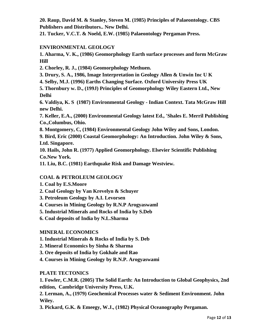**20. Raup, David M. & Stanley, Steven M. (1985) Principles of Palaeontology. CBS Publishers and Distributors.. New Delhi.** 

**21. Tucker, V.C.T. & Noeld, E.W. (1985) Palaeontology Pergaman Press.** 

## **ENVIRONMENTAL GEOLOGY**

**1. Aharma, V. K., (1986) Geomorphology Earth surface processes and form McGraw Hill** 

**2. Chorley, R. J., (1984) Geomorphology Methuen.** 

**3. Drury, S. A., 1986, Image Interpretation in Geology Allen & Unwin Inc U K** 

**4. Selby, M.J. (1996) Earths Changing Surface. Oxford University Press UK** 

**5. Thornbury w. D., (199J) Principles of Geomorphology Wiley Eastern Ltd., New Delhi** 

**6. Valdiya, K. S (1987) Environmental Geology - Indian Context. Tata McGraw Hill new Delhi.** 

**7. Keller, E.A., (2000) Environmental Geology latest Ed., 'Shales E. Merril Publishing Co.,Columbus, Ohio.** 

**8. Montgomery, C, (1984) Environmental Geology John Wiley and Sons, London.** 

**9. Bird, Eric (2000) Coastal Geomorphology: An Introduction. John Wiley & Sons, Ltd. Singapore.** 

**10. Hails, John R. (1977) Applied Geomorphology. Elsevier Scientific Publishing Co.New York.** 

**11. Liu, B.C. (1981) Earthquake Risk and Damage Westview.** 

## **COAL & PETROLEUM GEOLOGY**

- **1. Coal by E.S.Moore**
- **2. Coal Geology by Van Krevelyn & Schuyer**
- **3. Petroleum Geology by A.I. Levorsen**
- **4. Courses in Mining Geology by R.N.P Arogyaswaml**

**5. Industrial Minerals and Rocks of India by S.Deb** 

**6. Coal deposits of India by N.L.Sharma** 

## **MINERAL ECONOMICS**

**1. Industrial Minerals & Rocks of India by S. Deb** 

- **2. Mineral Economics by Sinha & Sharma**
- **3. Ore deposits of India by Gokhale and Rao**
- **4. Courses in Mining Geology by R.N.P. Arogyaswami**

## **PLATE TECTONICS**

**1. Fowler, C.M.R. (2005) The Solid Earth: An Introduction to Global Geophysics, 2nd edition, Cambridge University Press, U.K.** 

**2. Lerman, A., (1979) Geochemical Processes water & Sediment Environment. John Wiley.** 

**3. Pickard, G.K. & Emeegy, W.J., (1982) Physical Oceanography Pergaman.**